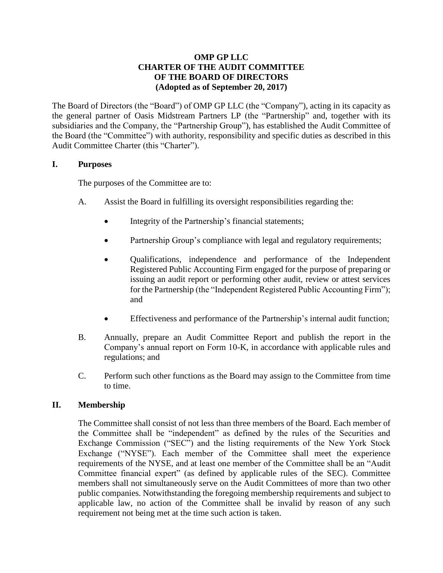## **OMP GP LLC CHARTER OF THE AUDIT COMMITTEE OF THE BOARD OF DIRECTORS (Adopted as of September 20, 2017)**

The Board of Directors (the "Board") of OMP GP LLC (the "Company"), acting in its capacity as the general partner of Oasis Midstream Partners LP (the "Partnership" and, together with its subsidiaries and the Company, the "Partnership Group"), has established the Audit Committee of the Board (the "Committee") with authority, responsibility and specific duties as described in this Audit Committee Charter (this "Charter").

### **I. Purposes**

The purposes of the Committee are to:

- A. Assist the Board in fulfilling its oversight responsibilities regarding the:
	- Integrity of the Partnership's financial statements;
	- Partnership Group's compliance with legal and regulatory requirements;
	- Qualifications, independence and performance of the Independent Registered Public Accounting Firm engaged for the purpose of preparing or issuing an audit report or performing other audit, review or attest services for the Partnership (the "Independent Registered Public Accounting Firm"); and
	- Effectiveness and performance of the Partnership's internal audit function;
- B. Annually, prepare an Audit Committee Report and publish the report in the Company's annual report on Form 10-K, in accordance with applicable rules and regulations; and
- C. Perform such other functions as the Board may assign to the Committee from time to time.

## **II. Membership**

The Committee shall consist of not less than three members of the Board. Each member of the Committee shall be "independent" as defined by the rules of the Securities and Exchange Commission ("SEC") and the listing requirements of the New York Stock Exchange ("NYSE"). Each member of the Committee shall meet the experience requirements of the NYSE, and at least one member of the Committee shall be an "Audit Committee financial expert" (as defined by applicable rules of the SEC). Committee members shall not simultaneously serve on the Audit Committees of more than two other public companies. Notwithstanding the foregoing membership requirements and subject to applicable law, no action of the Committee shall be invalid by reason of any such requirement not being met at the time such action is taken.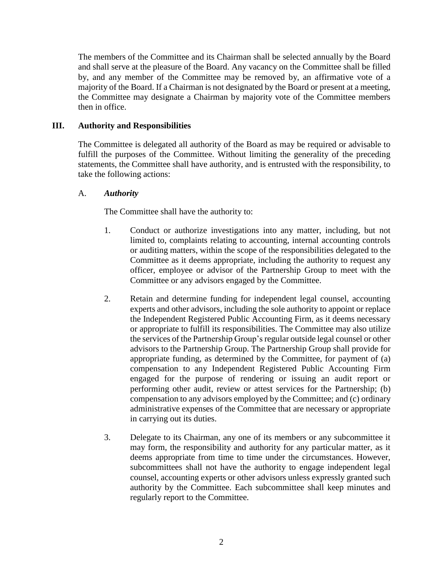The members of the Committee and its Chairman shall be selected annually by the Board and shall serve at the pleasure of the Board. Any vacancy on the Committee shall be filled by, and any member of the Committee may be removed by, an affirmative vote of a majority of the Board. If a Chairman is not designated by the Board or present at a meeting, the Committee may designate a Chairman by majority vote of the Committee members then in office.

### **III. Authority and Responsibilities**

The Committee is delegated all authority of the Board as may be required or advisable to fulfill the purposes of the Committee. Without limiting the generality of the preceding statements, the Committee shall have authority, and is entrusted with the responsibility, to take the following actions:

#### A. *Authority*

The Committee shall have the authority to:

- 1. Conduct or authorize investigations into any matter, including, but not limited to, complaints relating to accounting, internal accounting controls or auditing matters, within the scope of the responsibilities delegated to the Committee as it deems appropriate, including the authority to request any officer, employee or advisor of the Partnership Group to meet with the Committee or any advisors engaged by the Committee.
- 2. Retain and determine funding for independent legal counsel, accounting experts and other advisors, including the sole authority to appoint or replace the Independent Registered Public Accounting Firm, as it deems necessary or appropriate to fulfill its responsibilities. The Committee may also utilize the services of the Partnership Group's regular outside legal counsel or other advisors to the Partnership Group. The Partnership Group shall provide for appropriate funding, as determined by the Committee, for payment of (a) compensation to any Independent Registered Public Accounting Firm engaged for the purpose of rendering or issuing an audit report or performing other audit, review or attest services for the Partnership; (b) compensation to any advisors employed by the Committee; and (c) ordinary administrative expenses of the Committee that are necessary or appropriate in carrying out its duties.
- 3. Delegate to its Chairman, any one of its members or any subcommittee it may form, the responsibility and authority for any particular matter, as it deems appropriate from time to time under the circumstances. However, subcommittees shall not have the authority to engage independent legal counsel, accounting experts or other advisors unless expressly granted such authority by the Committee. Each subcommittee shall keep minutes and regularly report to the Committee.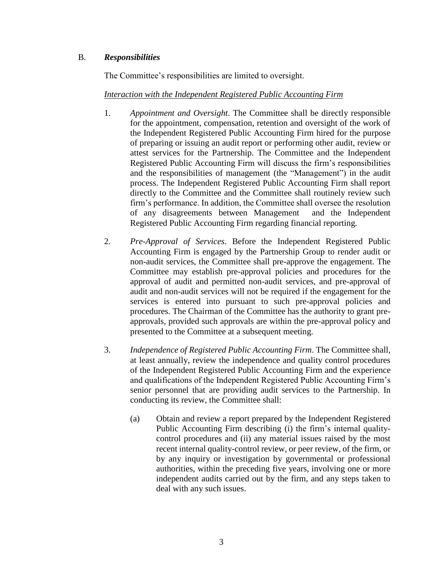# B. *Responsibilities*

The Committee's responsibilities are limited to oversight.

### *Interaction with the Independent Registered Public Accounting Firm*

- 1. *Appointment and Oversight*. The Committee shall be directly responsible for the appointment, compensation, retention and oversight of the work of the Independent Registered Public Accounting Firm hired for the purpose of preparing or issuing an audit report or performing other audit, review or attest services for the Partnership. The Committee and the Independent Registered Public Accounting Firm will discuss the firm's responsibilities and the responsibilities of management (the "Management") in the audit process. The Independent Registered Public Accounting Firm shall report directly to the Committee and the Committee shall routinely review such firm's performance. In addition, the Committee shall oversee the resolution of any disagreements between Management and the Independent Registered Public Accounting Firm regarding financial reporting.
- 2. *Pre-Approval of Services*. Before the Independent Registered Public Accounting Firm is engaged by the Partnership Group to render audit or non-audit services, the Committee shall pre-approve the engagement. The Committee may establish pre-approval policies and procedures for the approval of audit and permitted non-audit services, and pre-approval of audit and non-audit services will not be required if the engagement for the services is entered into pursuant to such pre-approval policies and procedures. The Chairman of the Committee has the authority to grant preapprovals, provided such approvals are within the pre-approval policy and presented to the Committee at a subsequent meeting.
- 3. *Independence of Registered Public Accounting Firm*. The Committee shall, at least annually, review the independence and quality control procedures of the Independent Registered Public Accounting Firm and the experience and qualifications of the Independent Registered Public Accounting Firm's senior personnel that are providing audit services to the Partnership. In conducting its review, the Committee shall:
	- (a) Obtain and review a report prepared by the Independent Registered Public Accounting Firm describing (i) the firm's internal qualitycontrol procedures and (ii) any material issues raised by the most recent internal quality-control review, or peer review, of the firm, or by any inquiry or investigation by governmental or professional authorities, within the preceding five years, involving one or more independent audits carried out by the firm, and any steps taken to deal with any such issues.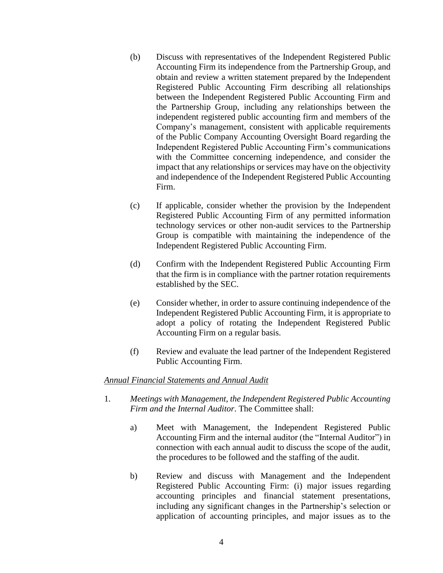- (b) Discuss with representatives of the Independent Registered Public Accounting Firm its independence from the Partnership Group, and obtain and review a written statement prepared by the Independent Registered Public Accounting Firm describing all relationships between the Independent Registered Public Accounting Firm and the Partnership Group, including any relationships between the independent registered public accounting firm and members of the Company's management, consistent with applicable requirements of the Public Company Accounting Oversight Board regarding the Independent Registered Public Accounting Firm's communications with the Committee concerning independence, and consider the impact that any relationships or services may have on the objectivity and independence of the Independent Registered Public Accounting Firm.
- (c) If applicable, consider whether the provision by the Independent Registered Public Accounting Firm of any permitted information technology services or other non-audit services to the Partnership Group is compatible with maintaining the independence of the Independent Registered Public Accounting Firm.
- (d) Confirm with the Independent Registered Public Accounting Firm that the firm is in compliance with the partner rotation requirements established by the SEC.
- (e) Consider whether, in order to assure continuing independence of the Independent Registered Public Accounting Firm, it is appropriate to adopt a policy of rotating the Independent Registered Public Accounting Firm on a regular basis.
- (f) Review and evaluate the lead partner of the Independent Registered Public Accounting Firm.

#### *Annual Financial Statements and Annual Audit*

- 1. *Meetings with Management, the Independent Registered Public Accounting Firm and the Internal Auditor*. The Committee shall:
	- a) Meet with Management, the Independent Registered Public Accounting Firm and the internal auditor (the "Internal Auditor") in connection with each annual audit to discuss the scope of the audit, the procedures to be followed and the staffing of the audit.
	- b) Review and discuss with Management and the Independent Registered Public Accounting Firm: (i) major issues regarding accounting principles and financial statement presentations, including any significant changes in the Partnership's selection or application of accounting principles, and major issues as to the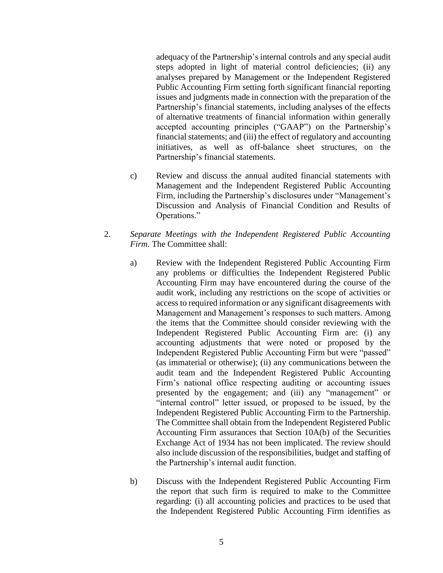adequacy of the Partnership's internal controls and any special audit steps adopted in light of material control deficiencies; (ii) any analyses prepared by Management or the Independent Registered Public Accounting Firm setting forth significant financial reporting issues and judgments made in connection with the preparation of the Partnership's financial statements, including analyses of the effects of alternative treatments of financial information within generally accepted accounting principles ("GAAP") on the Partnership's financial statements; and (iii) the effect of regulatory and accounting initiatives, as well as off-balance sheet structures, on the Partnership's financial statements.

- c) Review and discuss the annual audited financial statements with Management and the Independent Registered Public Accounting Firm, including the Partnership's disclosures under "Management's Discussion and Analysis of Financial Condition and Results of Operations."
- 2. *Separate Meetings with the Independent Registered Public Accounting Firm*. The Committee shall:
	- a) Review with the Independent Registered Public Accounting Firm any problems or difficulties the Independent Registered Public Accounting Firm may have encountered during the course of the audit work, including any restrictions on the scope of activities or access to required information or any significant disagreements with Management and Management's responses to such matters. Among the items that the Committee should consider reviewing with the Independent Registered Public Accounting Firm are: (i) any accounting adjustments that were noted or proposed by the Independent Registered Public Accounting Firm but were "passed" (as immaterial or otherwise); (ii) any communications between the audit team and the Independent Registered Public Accounting Firm's national office respecting auditing or accounting issues presented by the engagement; and (iii) any "management" or "internal control" letter issued, or proposed to be issued, by the Independent Registered Public Accounting Firm to the Partnership. The Committee shall obtain from the Independent Registered Public Accounting Firm assurances that Section 10A(b) of the Securities Exchange Act of 1934 has not been implicated. The review should also include discussion of the responsibilities, budget and staffing of the Partnership's internal audit function.
	- b) Discuss with the Independent Registered Public Accounting Firm the report that such firm is required to make to the Committee regarding: (i) all accounting policies and practices to be used that the Independent Registered Public Accounting Firm identifies as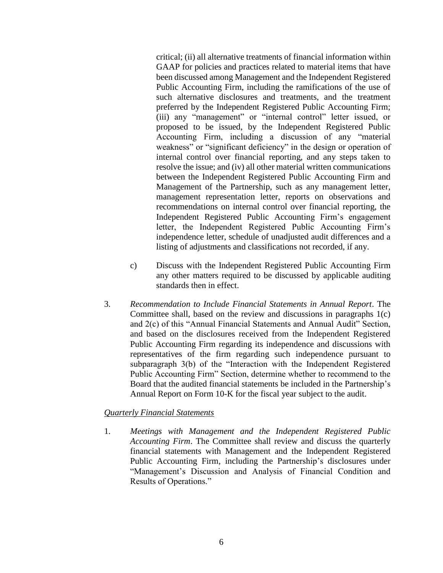critical; (ii) all alternative treatments of financial information within GAAP for policies and practices related to material items that have been discussed among Management and the Independent Registered Public Accounting Firm, including the ramifications of the use of such alternative disclosures and treatments, and the treatment preferred by the Independent Registered Public Accounting Firm; (iii) any "management" or "internal control" letter issued, or proposed to be issued, by the Independent Registered Public Accounting Firm, including a discussion of any "material weakness" or "significant deficiency" in the design or operation of internal control over financial reporting, and any steps taken to resolve the issue; and (iv) all other material written communications between the Independent Registered Public Accounting Firm and Management of the Partnership, such as any management letter, management representation letter, reports on observations and recommendations on internal control over financial reporting, the Independent Registered Public Accounting Firm's engagement letter, the Independent Registered Public Accounting Firm's independence letter, schedule of unadjusted audit differences and a listing of adjustments and classifications not recorded, if any.

- c) Discuss with the Independent Registered Public Accounting Firm any other matters required to be discussed by applicable auditing standards then in effect.
- 3. *Recommendation to Include Financial Statements in Annual Report*. The Committee shall, based on the review and discussions in paragraphs 1(c) and 2(c) of this "Annual Financial Statements and Annual Audit" Section, and based on the disclosures received from the Independent Registered Public Accounting Firm regarding its independence and discussions with representatives of the firm regarding such independence pursuant to subparagraph 3(b) of the "Interaction with the Independent Registered Public Accounting Firm" Section, determine whether to recommend to the Board that the audited financial statements be included in the Partnership's Annual Report on Form 10-K for the fiscal year subject to the audit.

#### *Quarterly Financial Statements*

1. *Meetings with Management and the Independent Registered Public Accounting Firm*. The Committee shall review and discuss the quarterly financial statements with Management and the Independent Registered Public Accounting Firm, including the Partnership's disclosures under "Management's Discussion and Analysis of Financial Condition and Results of Operations."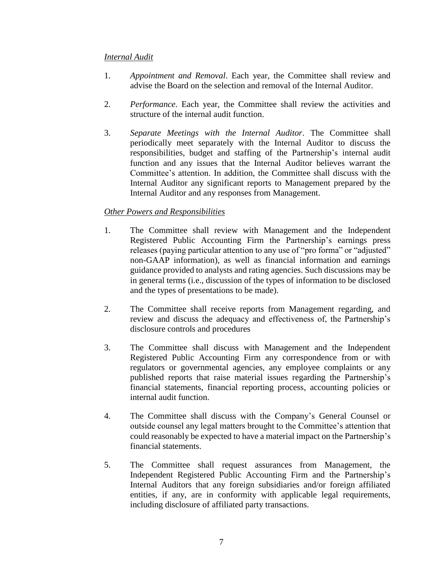### *Internal Audit*

- 1. *Appointment and Removal*. Each year, the Committee shall review and advise the Board on the selection and removal of the Internal Auditor.
- 2. *Performance*. Each year, the Committee shall review the activities and structure of the internal audit function.
- 3. *Separate Meetings with the Internal Auditor*. The Committee shall periodically meet separately with the Internal Auditor to discuss the responsibilities, budget and staffing of the Partnership's internal audit function and any issues that the Internal Auditor believes warrant the Committee's attention. In addition, the Committee shall discuss with the Internal Auditor any significant reports to Management prepared by the Internal Auditor and any responses from Management.

## *Other Powers and Responsibilities*

- 1. The Committee shall review with Management and the Independent Registered Public Accounting Firm the Partnership's earnings press releases (paying particular attention to any use of "pro forma" or "adjusted" non-GAAP information), as well as financial information and earnings guidance provided to analysts and rating agencies. Such discussions may be in general terms (i.e., discussion of the types of information to be disclosed and the types of presentations to be made).
- 2. The Committee shall receive reports from Management regarding, and review and discuss the adequacy and effectiveness of, the Partnership's disclosure controls and procedures
- 3. The Committee shall discuss with Management and the Independent Registered Public Accounting Firm any correspondence from or with regulators or governmental agencies, any employee complaints or any published reports that raise material issues regarding the Partnership's financial statements, financial reporting process, accounting policies or internal audit function.
- 4. The Committee shall discuss with the Company's General Counsel or outside counsel any legal matters brought to the Committee's attention that could reasonably be expected to have a material impact on the Partnership's financial statements.
- 5. The Committee shall request assurances from Management, the Independent Registered Public Accounting Firm and the Partnership's Internal Auditors that any foreign subsidiaries and/or foreign affiliated entities, if any, are in conformity with applicable legal requirements, including disclosure of affiliated party transactions.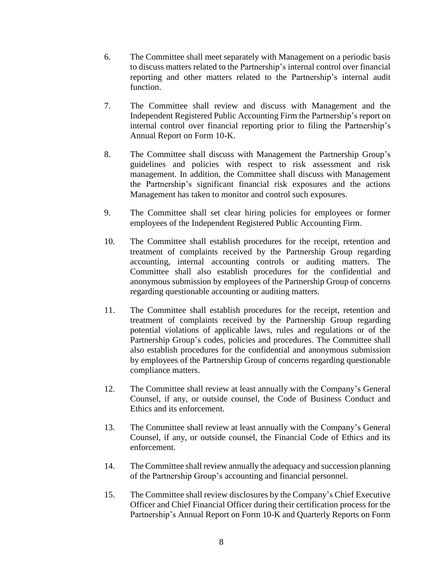- 6. The Committee shall meet separately with Management on a periodic basis to discuss matters related to the Partnership's internal control over financial reporting and other matters related to the Partnership's internal audit function.
- 7. The Committee shall review and discuss with Management and the Independent Registered Public Accounting Firm the Partnership's report on internal control over financial reporting prior to filing the Partnership's Annual Report on Form 10-K.
- 8. The Committee shall discuss with Management the Partnership Group's guidelines and policies with respect to risk assessment and risk management. In addition, the Committee shall discuss with Management the Partnership's significant financial risk exposures and the actions Management has taken to monitor and control such exposures.
- 9. The Committee shall set clear hiring policies for employees or former employees of the Independent Registered Public Accounting Firm.
- 10. The Committee shall establish procedures for the receipt, retention and treatment of complaints received by the Partnership Group regarding accounting, internal accounting controls or auditing matters. The Committee shall also establish procedures for the confidential and anonymous submission by employees of the Partnership Group of concerns regarding questionable accounting or auditing matters.
- 11. The Committee shall establish procedures for the receipt, retention and treatment of complaints received by the Partnership Group regarding potential violations of applicable laws, rules and regulations or of the Partnership Group's codes, policies and procedures. The Committee shall also establish procedures for the confidential and anonymous submission by employees of the Partnership Group of concerns regarding questionable compliance matters.
- 12. The Committee shall review at least annually with the Company's General Counsel, if any, or outside counsel, the Code of Business Conduct and Ethics and its enforcement.
- 13. The Committee shall review at least annually with the Company's General Counsel, if any, or outside counsel, the Financial Code of Ethics and its enforcement.
- 14. The Committee shall review annually the adequacy and succession planning of the Partnership Group's accounting and financial personnel.
- 15. The Committee shall review disclosures by the Company's Chief Executive Officer and Chief Financial Officer during their certification process for the Partnership's Annual Report on Form 10-K and Quarterly Reports on Form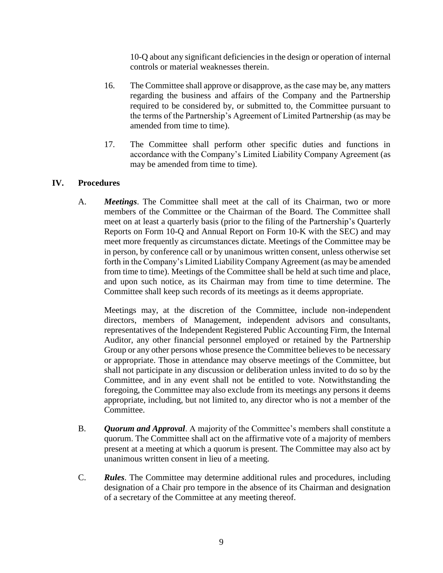10-Q about any significant deficiencies in the design or operation of internal controls or material weaknesses therein.

- 16. The Committee shall approve or disapprove, as the case may be, any matters regarding the business and affairs of the Company and the Partnership required to be considered by, or submitted to, the Committee pursuant to the terms of the Partnership's Agreement of Limited Partnership (as may be amended from time to time).
- 17. The Committee shall perform other specific duties and functions in accordance with the Company's Limited Liability Company Agreement (as may be amended from time to time).

## **IV. Procedures**

A. *Meetings*. The Committee shall meet at the call of its Chairman, two or more members of the Committee or the Chairman of the Board. The Committee shall meet on at least a quarterly basis (prior to the filing of the Partnership's Quarterly Reports on Form 10-Q and Annual Report on Form 10-K with the SEC) and may meet more frequently as circumstances dictate. Meetings of the Committee may be in person, by conference call or by unanimous written consent, unless otherwise set forth in the Company's Limited Liability Company Agreement (as may be amended from time to time). Meetings of the Committee shall be held at such time and place, and upon such notice, as its Chairman may from time to time determine. The Committee shall keep such records of its meetings as it deems appropriate.

Meetings may, at the discretion of the Committee, include non-independent directors, members of Management, independent advisors and consultants, representatives of the Independent Registered Public Accounting Firm, the Internal Auditor, any other financial personnel employed or retained by the Partnership Group or any other persons whose presence the Committee believes to be necessary or appropriate. Those in attendance may observe meetings of the Committee, but shall not participate in any discussion or deliberation unless invited to do so by the Committee, and in any event shall not be entitled to vote. Notwithstanding the foregoing, the Committee may also exclude from its meetings any persons it deems appropriate, including, but not limited to, any director who is not a member of the Committee.

- B. *Quorum and Approval*. A majority of the Committee's members shall constitute a quorum. The Committee shall act on the affirmative vote of a majority of members present at a meeting at which a quorum is present. The Committee may also act by unanimous written consent in lieu of a meeting.
- C. *Rules*. The Committee may determine additional rules and procedures, including designation of a Chair pro tempore in the absence of its Chairman and designation of a secretary of the Committee at any meeting thereof.